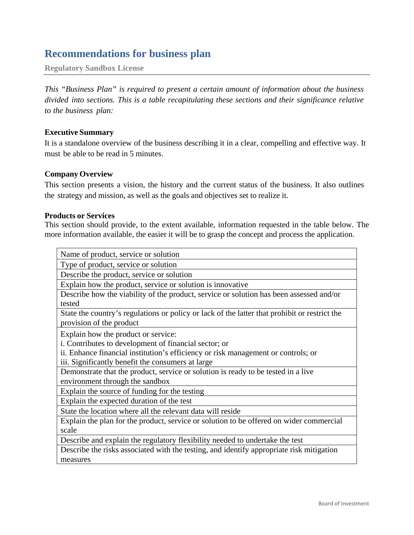# **Recommendations for business plan**

**Regulatory Sandbox License**

*This "Business Plan" is required to present a certain amount of information about the business divided into sections. This is a table recapitulating these sections and their significance relative to the business plan:*

## **Executive Summary**

It is a standalone overview of the business describing it in a clear, compelling and effective way. It must be able to be read in 5 minutes.

# **Company Overview**

This section presents a vision, the history and the current status of the business. It also outlines the strategy and mission, as well as the goals and objectives set to realize it.

#### **Products or Services**

This section should provide, to the extent available, information requested in the table below. The more information available, the easier it will be to grasp the concept and process the application.

| Name of product, service or solution                                                                                      |
|---------------------------------------------------------------------------------------------------------------------------|
| Type of product, service or solution                                                                                      |
| Describe the product, service or solution                                                                                 |
| Explain how the product, service or solution is innovative                                                                |
| Describe how the viability of the product, service or solution has been assessed and/or<br>tested                         |
| State the country's regulations or policy or lack of the latter that prohibit or restrict the<br>provision of the product |
| Explain how the product or service:                                                                                       |
| i. Contributes to development of financial sector; or                                                                     |
| ii. Enhance financial institution's efficiency or risk management or controls; or                                         |
| iii. Significantly benefit the consumers at large                                                                         |
| Demonstrate that the product, service or solution is ready to be tested in a live                                         |
| environment through the sandbox                                                                                           |
| Explain the source of funding for the testing                                                                             |
| Explain the expected duration of the test                                                                                 |
| State the location where all the relevant data will reside                                                                |
| Explain the plan for the product, service or solution to be offered on wider commercial                                   |
| scale                                                                                                                     |
| Describe and explain the regulatory flexibility needed to undertake the test                                              |
| Describe the risks associated with the testing, and identify appropriate risk mitigation                                  |
| measures                                                                                                                  |
|                                                                                                                           |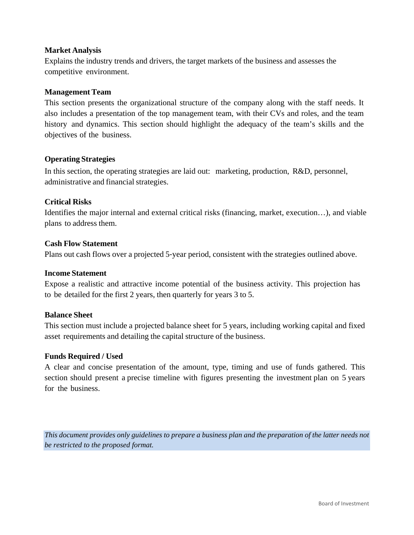# **Market Analysis**

Explains the industry trends and drivers, the target markets of the business and assesses the competitive environment.

## **Management Team**

This section presents the organizational structure of the company along with the staff needs. It also includes a presentation of the top management team, with their CVs and roles, and the team history and dynamics. This section should highlight the adequacy of the team's skills and the objectives of the business.

#### **Operating Strategies**

In this section, the operating strategies are laid out: marketing, production, R&D, personnel, administrative and financial strategies.

#### **Critical Risks**

Identifies the major internal and external critical risks (financing, market, execution…), and viable plans to address them.

#### **Cash Flow Statement**

Plans out cash flows over a projected 5‐year period, consistent with the strategies outlined above.

#### **Income Statement**

Expose a realistic and attractive income potential of the business activity. This projection has to be detailed for the first 2 years, then quarterly for years 3 to 5.

#### **Balance Sheet**

This section must include a projected balance sheet for 5 years, including working capital and fixed asset requirements and detailing the capital structure of the business.

# **Funds Required / Used**

A clear and concise presentation of the amount, type, timing and use of funds gathered. This section should present a precise timeline with figures presenting the investment plan on 5 years for the business.

*This document provides only guidelines to prepare a business plan and the preparation of the latter needs not be restricted to the proposed format.*